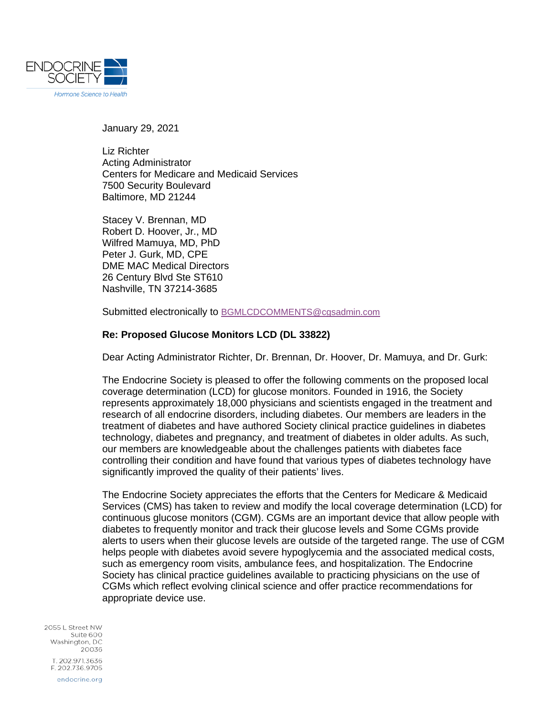

January 29, 2021

Liz Richter Acting Administrator Centers for Medicare and Medicaid Services 7500 Security Boulevard Baltimore, MD 21244

Stacey V. Brennan, MD Robert D. Hoover, Jr., MD Wilfred Mamuya, MD, PhD Peter J. Gurk, MD, CPE DME MAC Medical Directors 26 Century Blvd Ste ST610 Nashville, TN 37214-3685

Submitted electronically to [BGMLCDCOMMENTS@cgsadmin.com](mailto:BGMLCDCOMMENTS@cgsadmin.com)

## **Re: Proposed Glucose Monitors LCD (DL 33822)**

Dear Acting Administrator Richter, Dr. Brennan, Dr. Hoover, Dr. Mamuya, and Dr. Gurk:

The Endocrine Society is pleased to offer the following comments on the proposed local coverage determination (LCD) for glucose monitors. Founded in 1916, the Society represents approximately 18,000 physicians and scientists engaged in the treatment and research of all endocrine disorders, including diabetes. Our members are leaders in the treatment of diabetes and have authored Society clinical practice guidelines in diabetes technology, diabetes and pregnancy, and treatment of diabetes in older adults. As such, our members are knowledgeable about the challenges patients with diabetes face controlling their condition and have found that various types of diabetes technology have significantly improved the quality of their patients' lives.

The Endocrine Society appreciates the efforts that the Centers for Medicare & Medicaid Services (CMS) has taken to review and modify the local coverage determination (LCD) for continuous glucose monitors (CGM). CGMs are an important device that allow people with diabetes to frequently monitor and track their glucose levels and Some CGMs provide alerts to users when their glucose levels are outside of the targeted range. The use of CGM helps people with diabetes avoid severe hypoglycemia and the associated medical costs, such as emergency room visits, ambulance fees, and hospitalization. The Endocrine Society has clinical practice guidelines available to practicing physicians on the use of CGMs which reflect evolving clinical science and offer practice recommendations for appropriate device use.

2055 | Street NW Suite 600 Washington, DC 20036 T. 202.971.3636 F. 202.736.9705 endocrine.org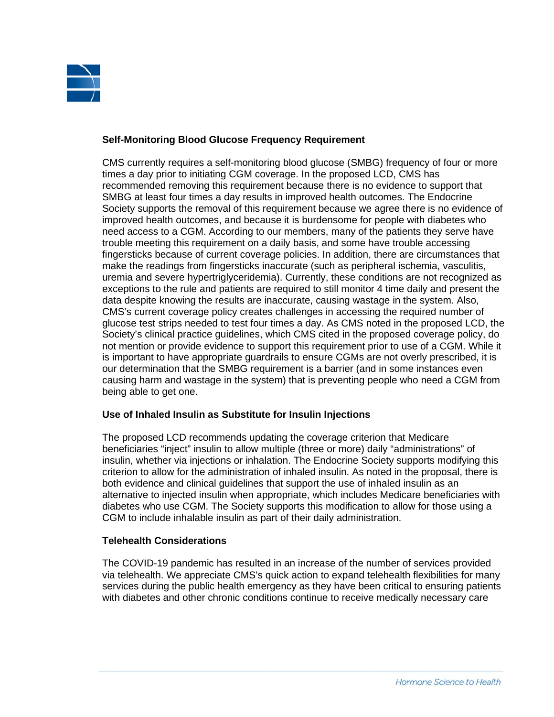

## **Self-Monitoring Blood Glucose Frequency Requirement**

CMS currently requires a self-monitoring blood glucose (SMBG) frequency of four or more times a day prior to initiating CGM coverage. In the proposed LCD, CMS has recommended removing this requirement because there is no evidence to support that SMBG at least four times a day results in improved health outcomes. The Endocrine Society supports the removal of this requirement because we agree there is no evidence of improved health outcomes, and because it is burdensome for people with diabetes who need access to a CGM. According to our members, many of the patients they serve have trouble meeting this requirement on a daily basis, and some have trouble accessing fingersticks because of current coverage policies. In addition, there are circumstances that make the readings from fingersticks inaccurate (such as peripheral ischemia, vasculitis, uremia and severe hypertriglyceridemia). Currently, these conditions are not recognized as exceptions to the rule and patients are required to still monitor 4 time daily and present the data despite knowing the results are inaccurate, causing wastage in the system. Also, CMS's current coverage policy creates challenges in accessing the required number of glucose test strips needed to test four times a day. As CMS noted in the proposed LCD, the Society's clinical practice guidelines, which CMS cited in the proposed coverage policy, do not mention or provide evidence to support this requirement prior to use of a CGM. While it is important to have appropriate guardrails to ensure CGMs are not overly prescribed, it is our determination that the SMBG requirement is a barrier (and in some instances even causing harm and wastage in the system) that is preventing people who need a CGM from being able to get one.

## **Use of Inhaled Insulin as Substitute for Insulin Injections**

The proposed LCD recommends updating the coverage criterion that Medicare beneficiaries "inject" insulin to allow multiple (three or more) daily "administrations" of insulin, whether via injections or inhalation. The Endocrine Society supports modifying this criterion to allow for the administration of inhaled insulin. As noted in the proposal, there is both evidence and clinical guidelines that support the use of inhaled insulin as an alternative to injected insulin when appropriate, which includes Medicare beneficiaries with diabetes who use CGM. The Society supports this modification to allow for those using a CGM to include inhalable insulin as part of their daily administration.

## **Telehealth Considerations**

The COVID-19 pandemic has resulted in an increase of the number of services provided via telehealth. We appreciate CMS's quick action to expand telehealth flexibilities for many services during the public health emergency as they have been critical to ensuring patients with diabetes and other chronic conditions continue to receive medically necessary care